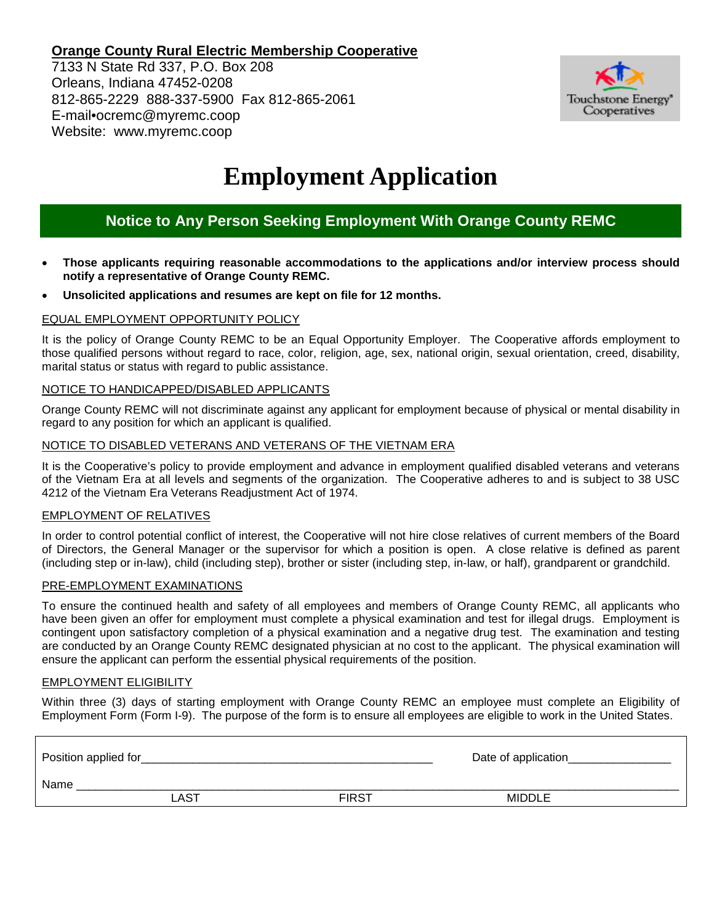### **Orange County Rural Electric Membership Cooperative**

7133 N State Rd 337, P.O. Box 208 Orleans, Indiana 47452-0208 812-865-2229 888-337-5900 Fax 812-865-2061 E-mail•ocremc@myremc.coop Website: www.myremc.coop



# **Employment Application**

# **Notice to Any Person Seeking Employment With Orange County REMC**

- **Those applicants requiring reasonable accommodations to the applications and/or interview process should notify a representative of Orange County REMC.**
- **Unsolicited applications and resumes are kept on file for 12 months.**

#### EQUAL EMPLOYMENT OPPORTUNITY POLICY

It is the policy of Orange County REMC to be an Equal Opportunity Employer. The Cooperative affords employment to those qualified persons without regard to race, color, religion, age, sex, national origin, sexual orientation, creed, disability, marital status or status with regard to public assistance.

#### NOTICE TO HANDICAPPED/DISABLED APPLICANTS

Orange County REMC will not discriminate against any applicant for employment because of physical or mental disability in regard to any position for which an applicant is qualified.

#### NOTICE TO DISABLED VETERANS AND VETERANS OF THE VIETNAM ERA

It is the Cooperative's policy to provide employment and advance in employment qualified disabled veterans and veterans of the Vietnam Era at all levels and segments of the organization. The Cooperative adheres to and is subject to 38 USC 4212 of the Vietnam Era Veterans Readjustment Act of 1974.

#### EMPLOYMENT OF RELATIVES

In order to control potential conflict of interest, the Cooperative will not hire close relatives of current members of the Board of Directors, the General Manager or the supervisor for which a position is open. A close relative is defined as parent (including step or in-law), child (including step), brother or sister (including step, in-law, or half), grandparent or grandchild.

#### PRE-EMPLOYMENT EXAMINATIONS

To ensure the continued health and safety of all employees and members of Orange County REMC, all applicants who have been given an offer for employment must complete a physical examination and test for illegal drugs. Employment is contingent upon satisfactory completion of a physical examination and a negative drug test. The examination and testing are conducted by an Orange County REMC designated physician at no cost to the applicant. The physical examination will ensure the applicant can perform the essential physical requirements of the position.

#### EMPLOYMENT ELIGIBILITY

Within three (3) days of starting employment with Orange County REMC an employee must complete an Eligibility of Employment Form (Form I-9). The purpose of the form is to ensure all employees are eligible to work in the United States.

| Position applied for |      |              | Date of application_ |  |  |
|----------------------|------|--------------|----------------------|--|--|
| Name                 |      |              |                      |  |  |
|                      | LAST | <b>FIRST</b> | <b>MIDDLE</b>        |  |  |
|                      |      |              |                      |  |  |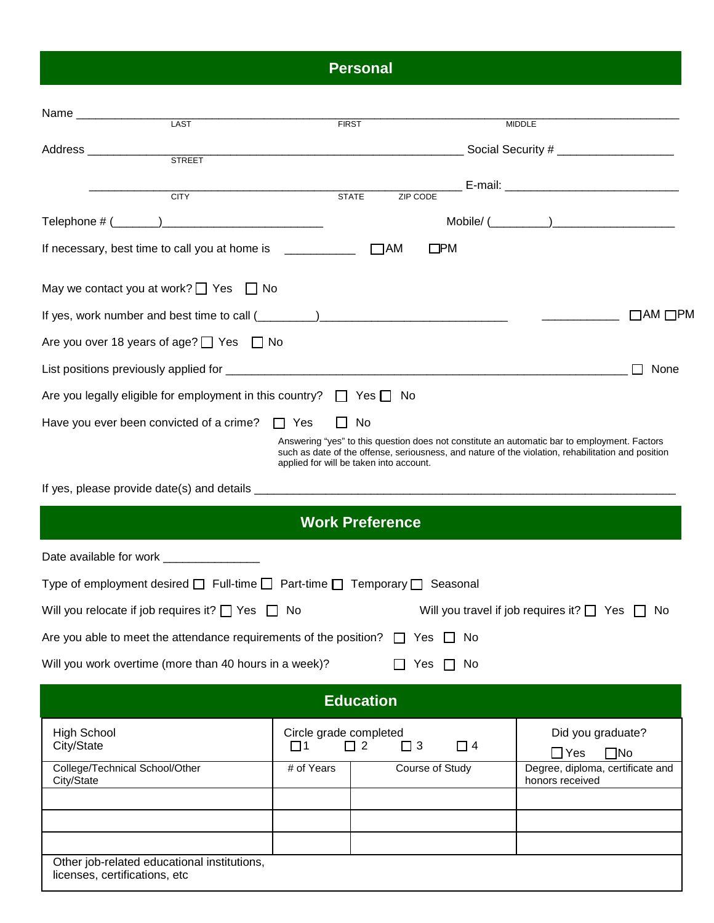# **Personal**

| Name ____________<br><b>LAST</b>                                                                          | <b>FIRST</b>                            |                         |                 | <b>MIDDLE</b>                                                                                                                                                                                      |  |  |
|-----------------------------------------------------------------------------------------------------------|-----------------------------------------|-------------------------|-----------------|----------------------------------------------------------------------------------------------------------------------------------------------------------------------------------------------------|--|--|
|                                                                                                           |                                         |                         |                 |                                                                                                                                                                                                    |  |  |
| Address _____________________<br><b>STREET</b>                                                            |                                         |                         |                 |                                                                                                                                                                                                    |  |  |
| <b>CITY</b>                                                                                               | <b>STATE</b>                            | ZIP CODE                |                 | __ E-mail: _________ ________________________                                                                                                                                                      |  |  |
|                                                                                                           |                                         |                         |                 |                                                                                                                                                                                                    |  |  |
|                                                                                                           |                                         |                         |                 |                                                                                                                                                                                                    |  |  |
| If necessary, best time to call you at home is ____________                                               |                                         | $\Box$ AM               | $\square$ PM    |                                                                                                                                                                                                    |  |  |
| May we contact you at work? $\Box$ Yes $\Box$ No                                                          |                                         |                         |                 |                                                                                                                                                                                                    |  |  |
|                                                                                                           |                                         |                         |                 | $\Box$ AM $\Box$ PM                                                                                                                                                                                |  |  |
| Are you over 18 years of age? $\Box$ Yes $\Box$ No                                                        |                                         |                         |                 |                                                                                                                                                                                                    |  |  |
| None                                                                                                      |                                         |                         |                 |                                                                                                                                                                                                    |  |  |
| Are you legally eligible for employment in this country? $\Box$ Yes $\Box$ No                             |                                         |                         |                 |                                                                                                                                                                                                    |  |  |
| Have you ever been convicted of a crime? $\Box$ Yes                                                       | $\perp$                                 | No                      |                 |                                                                                                                                                                                                    |  |  |
|                                                                                                           | applied for will be taken into account. |                         |                 | Answering "yes" to this question does not constitute an automatic bar to employment. Factors<br>such as date of the offense, seriousness, and nature of the violation, rehabilitation and position |  |  |
|                                                                                                           |                                         |                         |                 |                                                                                                                                                                                                    |  |  |
|                                                                                                           |                                         | <b>Work Preference</b>  |                 |                                                                                                                                                                                                    |  |  |
|                                                                                                           |                                         |                         |                 |                                                                                                                                                                                                    |  |  |
| Type of employment desired $\square$ Full-time $\square$ Part-time $\square$ Temporary $\square$ Seasonal |                                         |                         |                 |                                                                                                                                                                                                    |  |  |
| Will you relocate if job requires it? $\Box$ Yes $\Box$ No                                                |                                         |                         |                 | Will you travel if job requires it? $\Box$ Yes $\Box$<br>N0                                                                                                                                        |  |  |
| Are you able to meet the attendance requirements of the position? $\Box$ Yes $\Box$                       |                                         |                         | No.             |                                                                                                                                                                                                    |  |  |
| Will you work overtime (more than 40 hours in a week)?                                                    |                                         |                         | Yes $\Box$ No   |                                                                                                                                                                                                    |  |  |
|                                                                                                           |                                         | <b>Education</b>        |                 |                                                                                                                                                                                                    |  |  |
| <b>High School</b><br>City/State                                                                          | Circle grade completed<br>$\square$ 1   | $\Box$ 2<br>$\square$ 3 | $\Box$ 4        | Did you graduate?<br>$\Box$ Yes<br>$\Box$ No                                                                                                                                                       |  |  |
| College/Technical School/Other<br>City/State                                                              | # of Years                              |                         | Course of Study | Degree, diploma, certificate and<br>honors received                                                                                                                                                |  |  |
|                                                                                                           |                                         |                         |                 |                                                                                                                                                                                                    |  |  |
|                                                                                                           |                                         |                         |                 |                                                                                                                                                                                                    |  |  |
| Other job-related educational institutions,<br>licenses, certifications, etc                              |                                         |                         |                 |                                                                                                                                                                                                    |  |  |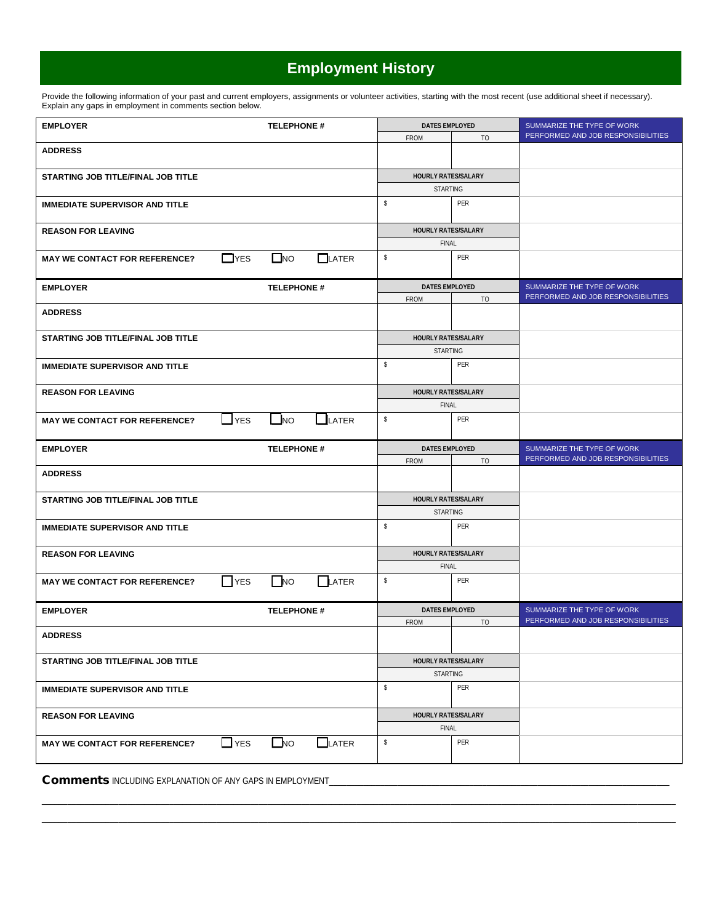# **Employment History**

Provide the following information of your past and current employers, assignments or volunteer activities, starting with the most recent (use additional sheet if necessary). Explain any gaps in employment in comments section below.

| PERFORMED AND JOB RESPONSIBILITIES<br>FROM<br><b>TO</b><br><b>ADDRESS</b><br>HOURLY RATES/SALARY<br>STARTING JOB TITLE/FINAL JOB TITLE<br>STARTING<br>s.<br>PER<br><b>IMMEDIATE SUPERVISOR AND TITLE</b><br><b>HOURLY RATES/SALARY</b><br><b>REASON FOR LEAVING</b><br>FINAL<br>PER<br>$\square$ NO<br>s<br>$\Box$ YES<br>$\Box$ LATER<br><b>MAY WE CONTACT FOR REFERENCE?</b> |  |
|--------------------------------------------------------------------------------------------------------------------------------------------------------------------------------------------------------------------------------------------------------------------------------------------------------------------------------------------------------------------------------|--|
|                                                                                                                                                                                                                                                                                                                                                                                |  |
|                                                                                                                                                                                                                                                                                                                                                                                |  |
|                                                                                                                                                                                                                                                                                                                                                                                |  |
|                                                                                                                                                                                                                                                                                                                                                                                |  |
|                                                                                                                                                                                                                                                                                                                                                                                |  |
|                                                                                                                                                                                                                                                                                                                                                                                |  |
|                                                                                                                                                                                                                                                                                                                                                                                |  |
|                                                                                                                                                                                                                                                                                                                                                                                |  |
| <b>DATES EMPLOYED</b><br><b>TELEPHONE #</b><br>SUMMARIZE THE TYPE OF WORK<br><b>EMPLOYER</b><br>PERFORMED AND JOB RESPONSIBILITIES<br><b>TO</b>                                                                                                                                                                                                                                |  |
| <b>FROM</b><br><b>ADDRESS</b>                                                                                                                                                                                                                                                                                                                                                  |  |
| HOURLY RATES/SALARY<br>STARTING JOB TITLE/FINAL JOB TITLE                                                                                                                                                                                                                                                                                                                      |  |
| STARTING                                                                                                                                                                                                                                                                                                                                                                       |  |
| s<br>PER<br><b>IMMEDIATE SUPERVISOR AND TITLE</b>                                                                                                                                                                                                                                                                                                                              |  |
| <b>HOURLY RATES/SALARY</b><br><b>REASON FOR LEAVING</b>                                                                                                                                                                                                                                                                                                                        |  |
| <b>FINAL</b>                                                                                                                                                                                                                                                                                                                                                                   |  |
| PER<br>s<br>$\sqcup$ YES<br>$N$ O<br>$\blacksquare$ LATER<br><b>MAY WE CONTACT FOR REFERENCE?</b>                                                                                                                                                                                                                                                                              |  |
| <b>DATES EMPLOYED</b><br>SUMMARIZE THE TYPE OF WORK<br><b>TELEPHONE #</b><br><b>EMPLOYER</b><br>PERFORMED AND JOB RESPONSIBILITIES                                                                                                                                                                                                                                             |  |
| <b>FROM</b><br>TO                                                                                                                                                                                                                                                                                                                                                              |  |
| <b>ADDRESS</b>                                                                                                                                                                                                                                                                                                                                                                 |  |
| HOURLY RATES/SALARY<br>STARTING JOB TITLE/FINAL JOB TITLE<br><b>STARTING</b>                                                                                                                                                                                                                                                                                                   |  |
| s.<br><b>PER</b><br><b>IMMEDIATE SUPERVISOR AND TITLE</b>                                                                                                                                                                                                                                                                                                                      |  |
|                                                                                                                                                                                                                                                                                                                                                                                |  |
| HOURLY RATES/SALARY<br><b>REASON FOR LEAVING</b>                                                                                                                                                                                                                                                                                                                               |  |
| <b>FINAL</b>                                                                                                                                                                                                                                                                                                                                                                   |  |
| $\Box$ NO<br>s<br>PER<br>LATER<br><b>YES</b><br><b>MAY WE CONTACT FOR REFERENCE?</b>                                                                                                                                                                                                                                                                                           |  |
|                                                                                                                                                                                                                                                                                                                                                                                |  |
| <b>TELEPHONE #</b><br><b>DATES EMPLOYED</b><br>SUMMARIZE THE TYPE OF WORK<br><b>EMPLOYER</b>                                                                                                                                                                                                                                                                                   |  |
| PERFORMED AND JOB RESPONSIBILITIES<br><b>FROM</b><br>TO                                                                                                                                                                                                                                                                                                                        |  |
| <b>ADDRESS</b>                                                                                                                                                                                                                                                                                                                                                                 |  |
| HOURLY RATES/SALARY<br>STARTING JOB TITLE/FINAL JOB TITLE                                                                                                                                                                                                                                                                                                                      |  |
| <b>STARTING</b>                                                                                                                                                                                                                                                                                                                                                                |  |
| s<br>PER<br><b>IMMEDIATE SUPERVISOR AND TITLE</b>                                                                                                                                                                                                                                                                                                                              |  |
| HOURLY RATES/SALARY<br><b>REASON FOR LEAVING</b>                                                                                                                                                                                                                                                                                                                               |  |
| <b>FINAL</b>                                                                                                                                                                                                                                                                                                                                                                   |  |

\_\_\_\_\_\_\_\_\_\_\_\_\_\_\_\_\_\_\_\_\_\_\_\_\_\_\_\_\_\_\_\_\_\_\_\_\_\_\_\_\_\_\_\_\_\_\_\_\_\_\_\_\_\_\_\_\_\_\_\_\_\_\_\_\_\_\_\_\_\_\_\_\_\_\_\_\_\_\_\_\_\_\_\_\_\_\_\_\_\_\_\_\_\_\_\_\_\_\_\_\_\_\_\_\_\_\_\_\_\_\_\_\_\_\_\_\_\_\_\_\_\_\_\_\_\_\_\_\_\_\_\_\_\_\_\_\_\_\_\_\_\_\_\_\_\_\_\_\_ \_\_\_\_\_\_\_\_\_\_\_\_\_\_\_\_\_\_\_\_\_\_\_\_\_\_\_\_\_\_\_\_\_\_\_\_\_\_\_\_\_\_\_\_\_\_\_\_\_\_\_\_\_\_\_\_\_\_\_\_\_\_\_\_\_\_\_\_\_\_\_\_\_\_\_\_\_\_\_\_\_\_\_\_\_\_\_\_\_\_\_\_\_\_\_\_\_\_\_\_\_\_\_\_\_\_\_\_\_\_\_\_\_\_\_\_\_\_\_\_\_\_\_\_\_\_\_\_\_\_\_\_\_\_\_\_\_\_\_\_\_\_\_\_\_\_\_\_\_

Comments INCLUDING EXPLANATION OF ANY GAPS IN EMPLOYMENT